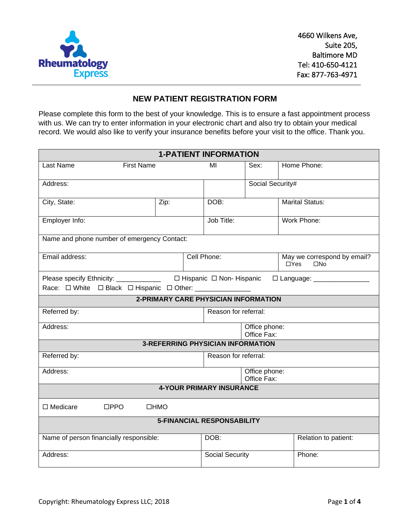

#### **NEW PATIENT REGISTRATION FORM**

Please complete this form to the best of your knowledge. This is to ensure a fast appointment process with us. We can try to enter information in your electronic chart and also try to obtain your medical record. We would also like to verify your insurance benefits before your visit to the office. Thank you.

| <b>1-PATIENT INFORMATION</b>                                                                    |                                             |                        |                  |                                                           |  |  |
|-------------------------------------------------------------------------------------------------|---------------------------------------------|------------------------|------------------|-----------------------------------------------------------|--|--|
| <b>First Name</b><br>Last Name                                                                  |                                             | MI                     | Sex:             | Home Phone:                                               |  |  |
| Address:                                                                                        |                                             |                        | Social Security# |                                                           |  |  |
| City, State:                                                                                    | Zip:                                        | DOB:                   |                  | <b>Marital Status:</b>                                    |  |  |
| Employer Info:                                                                                  |                                             |                        |                  | Work Phone:                                               |  |  |
| Name and phone number of emergency Contact:                                                     |                                             |                        |                  |                                                           |  |  |
| Email address:                                                                                  |                                             | Cell Phone:            |                  | May we correspond by email?<br>$\Box$ Yes<br>$\square$ No |  |  |
| Please specify Ethnicity: _____________ □ Hispanic □ Non- Hispanic<br>□ Language: _____________ |                                             |                        |                  |                                                           |  |  |
| Race: O White O Black O Hispanic O Other: ___________                                           |                                             |                        |                  |                                                           |  |  |
|                                                                                                 | <b>2-PRIMARY CARE PHYSICIAN INFORMATION</b> |                        |                  |                                                           |  |  |
| Referred by:                                                                                    |                                             | Reason for referral:   |                  |                                                           |  |  |
| Address:                                                                                        | Office phone:<br>Office Fax:                |                        |                  |                                                           |  |  |
|                                                                                                 | <b>3-REFERRING PHYSICIAN INFORMATION</b>    |                        |                  |                                                           |  |  |
| Referred by:<br>Reason for referral:                                                            |                                             |                        |                  |                                                           |  |  |
| Address:                                                                                        | Office phone:<br>Office Fax:                |                        |                  |                                                           |  |  |
| <b>4-YOUR PRIMARY INSURANCE</b>                                                                 |                                             |                        |                  |                                                           |  |  |
| $\Box$ Medicare<br>$\square$ PPO                                                                | □HMO                                        |                        |                  |                                                           |  |  |
| <b>5-FINANCIAL RESPONSABILITY</b>                                                               |                                             |                        |                  |                                                           |  |  |
| Name of person financially responsible:                                                         |                                             | DOB:                   |                  | Relation to patient:                                      |  |  |
| Address:                                                                                        |                                             | <b>Social Security</b> |                  | Phone:                                                    |  |  |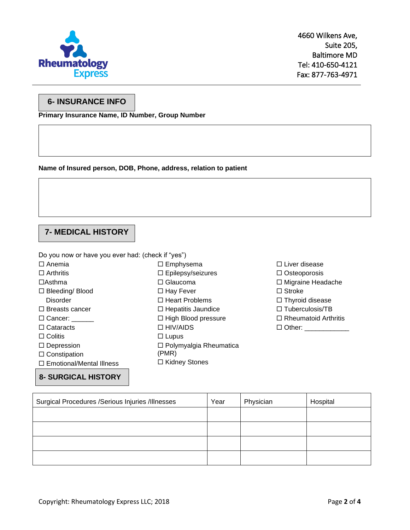

#### **6- INSURANCE INFO**

**Primary Insurance Name, ID Number, Group Number**

**Name of Insured person, DOB, Phone, address, relation to patient**

# **7- MEDICAL HISTORY**

Do you now or have you ever had: (check if "yes")

 $\Box$  Anemia

- $\Box$  Arthritis
- Asthma
- □ Bleeding/ Blood
	- **Disorder**
- $\square$  Breasts cancer
- $\Box$  Cancer:
- □ Cataracts
- $\Box$  Colitis
- □ Depression
- $\square$  Constipation
- □ Emotional/Mental Illness

**8- SURGICAL HISTORY**

- □ Epilepsy/seizures □ Glaucoma □ Hay Fever
- □ Heart Problems

□ Emphysema

- $\Box$  Hepatitis Jaundice
- $\Box$  High Blood pressure
- □ HIV/AIDS
- $\square$  Lupus
- □ Polymyalgia Rheumatica (PMR)
- □ Kidney Stones
- □ Liver disease
- $\square$  Osteoporosis
- □ Migraine Headache
- □ Stroke
- $\Box$  Thyroid disease
- $\Box$  Tuberculosis/TB
- $\Box$  Rheumatoid Arthritis
- □ Other: \_\_\_\_\_\_\_\_\_\_\_\_\_\_

| Surgical Procedures /Serious Injuries /Illnesses | Year | Physician | Hospital |
|--------------------------------------------------|------|-----------|----------|
|                                                  |      |           |          |
|                                                  |      |           |          |
|                                                  |      |           |          |
|                                                  |      |           |          |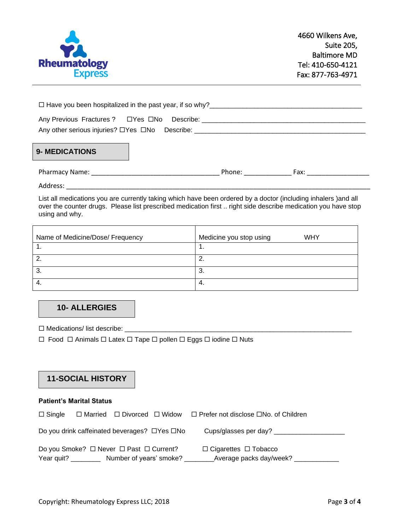

| □ Have you been hospitalized in the past year, if so why?<br>□ Have you been hospitalized in the past year, if so why? |  |  |  |  |
|------------------------------------------------------------------------------------------------------------------------|--|--|--|--|
| Any Previous Fractures ? □ Yes □ No Describe:                                                                          |  |  |  |  |
| Any other serious injuries? □Yes □No Describe:                                                                         |  |  |  |  |
|                                                                                                                        |  |  |  |  |

# **9- MEDICATIONS**

Address: \_\_\_\_\_\_\_\_\_\_\_\_\_\_\_\_\_\_\_\_\_\_\_\_\_\_\_\_\_\_\_\_\_\_\_\_\_\_\_\_\_\_\_\_\_\_\_\_\_\_\_\_\_\_\_\_\_\_\_\_\_\_\_\_\_\_\_\_\_\_\_\_\_\_\_\_\_\_\_\_\_\_\_

List all medications you are currently taking which have been ordered by a doctor (including inhalers )and all over the counter drugs. Please list prescribed medication first .. right side describe medication you have stop using and why.

| Name of Medicine/Dose/ Frequency | Medicine you stop using<br><b>WHY</b> |
|----------------------------------|---------------------------------------|
|                                  | . .                                   |
|                                  | ົ<br><u>.</u>                         |
| . ب                              | 3.                                    |
| -4.                              | 4.                                    |

# **10- ALLERGIES**

 $\Box$  Medications/ list describe:  $\Box$ 

 $\Box$  Food  $\Box$  Animals  $\Box$  Latex  $\Box$  Tape  $\Box$  pollen  $\Box$  Eggs  $\Box$  iodine  $\Box$  Nuts

### **11-SOCIAL HISTORY**

#### **Patient's Marital Status**

| $\Box$ Single       |                                                          | $\Box$ Married $\Box$ Divorced $\Box$ Widow $\Box$ Prefer not disclose $\Box$ No. of Children |
|---------------------|----------------------------------------------------------|-----------------------------------------------------------------------------------------------|
|                     | Do you drink caffeinated beverages? $\Box$ Yes $\Box$ No | Cups/glasses per day?                                                                         |
|                     | Do you Smoke? $\Box$ Never $\Box$ Past $\Box$ Current?   | $\Box$ Cigarettes $\Box$ Tobacco                                                              |
| Year quit? ________ | Number of years' smoke?                                  | Average packs day/week?                                                                       |